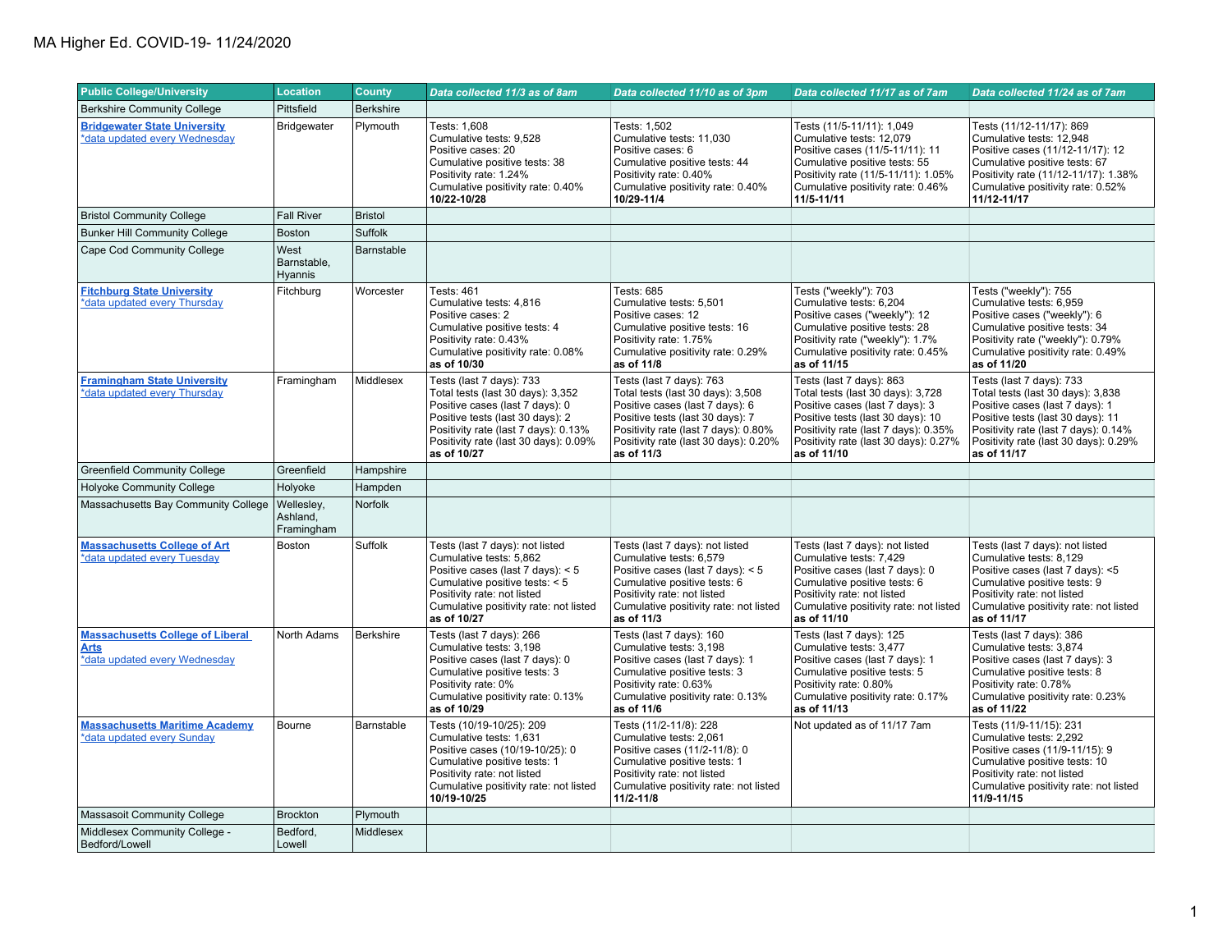| <b>Public College/University</b>                                                 | <b>Location</b>                      | <b>County</b>    | Data collected 11/3 as of 8am                                                                                                                                                                                                        | Data collected 11/10 as of 3pm                                                                                                                                                                                                      | Data collected 11/17 as of 7am                                                                                                                                                                                                        | Data collected 11/24 as of 7am                                                                                                                                                                                                        |
|----------------------------------------------------------------------------------|--------------------------------------|------------------|--------------------------------------------------------------------------------------------------------------------------------------------------------------------------------------------------------------------------------------|-------------------------------------------------------------------------------------------------------------------------------------------------------------------------------------------------------------------------------------|---------------------------------------------------------------------------------------------------------------------------------------------------------------------------------------------------------------------------------------|---------------------------------------------------------------------------------------------------------------------------------------------------------------------------------------------------------------------------------------|
| <b>Berkshire Community College</b>                                               | Pittsfield                           | <b>Berkshire</b> |                                                                                                                                                                                                                                      |                                                                                                                                                                                                                                     |                                                                                                                                                                                                                                       |                                                                                                                                                                                                                                       |
| <b>Bridgewater State University</b><br>*data updated every Wednesday             | Bridgewater                          | Plymouth         | Tests: 1,608<br>Cumulative tests: 9,528<br>Positive cases: 20<br>Cumulative positive tests: 38<br>Positivity rate: 1.24%<br>Cumulative positivity rate: 0.40%<br>10/22-10/28                                                         | Tests: 1,502<br>Cumulative tests: 11,030<br>Positive cases: 6<br>Cumulative positive tests: 44<br>Positivity rate: 0.40%<br>Cumulative positivity rate: 0.40%<br>10/29-11/4                                                         | Tests (11/5-11/11): 1,049<br>Cumulative tests: 12,079<br>Positive cases (11/5-11/11): 11<br>Cumulative positive tests: 55<br>Positivity rate (11/5-11/11): 1.05%<br>Cumulative positivity rate: 0.46%<br>11/5-11/11                   | Tests (11/12-11/17): 869<br>Cumulative tests: 12,948<br>Positive cases (11/12-11/17): 12<br>Cumulative positive tests: 67<br>Positivity rate (11/12-11/17): 1.38%<br>Cumulative positivity rate: 0.52%<br>11/12-11/17                 |
| <b>Bristol Community College</b>                                                 | <b>Fall River</b>                    | <b>Bristol</b>   |                                                                                                                                                                                                                                      |                                                                                                                                                                                                                                     |                                                                                                                                                                                                                                       |                                                                                                                                                                                                                                       |
| <b>Bunker Hill Community College</b>                                             | <b>Boston</b>                        | Suffolk          |                                                                                                                                                                                                                                      |                                                                                                                                                                                                                                     |                                                                                                                                                                                                                                       |                                                                                                                                                                                                                                       |
| Cape Cod Community College                                                       | West<br>Barnstable,<br>Hyannis       | Barnstable       |                                                                                                                                                                                                                                      |                                                                                                                                                                                                                                     |                                                                                                                                                                                                                                       |                                                                                                                                                                                                                                       |
| <b>Fitchburg State University</b><br>*data updated every Thursday                | Fitchburg                            | Worcester        | Tests: 461<br>Cumulative tests: 4,816<br>Positive cases: 2<br>Cumulative positive tests: 4<br>Positivity rate: 0.43%<br>Cumulative positivity rate: 0.08%<br>as of 10/30                                                             | Tests: 685<br>Cumulative tests: 5,501<br>Positive cases: 12<br>Cumulative positive tests: 16<br>Positivity rate: 1.75%<br>Cumulative positivity rate: 0.29%<br>as of 11/8                                                           | Tests ("weekly"): 703<br>Cumulative tests: 6,204<br>Positive cases ("weekly"): 12<br>Cumulative positive tests: 28<br>Positivity rate ("weekly"): 1.7%<br>Cumulative positivity rate: 0.45%<br>as of 11/15                            | Tests ("weekly"): 755<br>Cumulative tests: 6,959<br>Positive cases ("weekly"): 6<br>Cumulative positive tests: 34<br>Positivity rate ("weekly"): 0.79%<br>Cumulative positivity rate: 0.49%<br>as of 11/20                            |
| <b>Framingham State University</b><br>data updated every Thursday                | Framingham                           | Middlesex        | Tests (last 7 days): 733<br>Total tests (last 30 days): 3,352<br>Positive cases (last 7 days): 0<br>Positive tests (last 30 days): 2<br>Positivity rate (last 7 days): 0.13%<br>Positivity rate (last 30 days): 0.09%<br>as of 10/27 | Tests (last 7 days): 763<br>Total tests (last 30 days): 3,508<br>Positive cases (last 7 days): 6<br>Positive tests (last 30 days): 7<br>Positivity rate (last 7 days): 0.80%<br>Positivity rate (last 30 days): 0.20%<br>as of 11/3 | Tests (last 7 days): 863<br>Total tests (last 30 days): 3,728<br>Positive cases (last 7 days): 3<br>Positive tests (last 30 days): 10<br>Positivity rate (last 7 days): 0.35%<br>Positivity rate (last 30 days): 0.27%<br>as of 11/10 | Tests (last 7 days): 733<br>Total tests (last 30 days): 3,838<br>Positive cases (last 7 days): 1<br>Positive tests (last 30 days): 11<br>Positivity rate (last 7 days): 0.14%<br>Positivity rate (last 30 days): 0.29%<br>as of 11/17 |
| <b>Greenfield Community College</b>                                              | Greenfield                           | Hampshire        |                                                                                                                                                                                                                                      |                                                                                                                                                                                                                                     |                                                                                                                                                                                                                                       |                                                                                                                                                                                                                                       |
| <b>Holyoke Community College</b>                                                 | Holyoke                              | Hampden          |                                                                                                                                                                                                                                      |                                                                                                                                                                                                                                     |                                                                                                                                                                                                                                       |                                                                                                                                                                                                                                       |
| Massachusetts Bay Community College                                              | Wellesley,<br>Ashland,<br>Framingham | Norfolk          |                                                                                                                                                                                                                                      |                                                                                                                                                                                                                                     |                                                                                                                                                                                                                                       |                                                                                                                                                                                                                                       |
| <b>Massachusetts College of Art</b><br>*data updated every Tuesday               | Boston                               | Suffolk          | Tests (last 7 days): not listed<br>Cumulative tests: 5,862<br>Positive cases (last 7 days): < 5<br>Cumulative positive tests: < 5<br>Positivity rate: not listed<br>Cumulative positivity rate: not listed<br>as of 10/27            | Tests (last 7 days): not listed<br>Cumulative tests: 6,579<br>Positive cases (last 7 days): < 5<br>Cumulative positive tests: 6<br>Positivity rate: not listed<br>Cumulative positivity rate: not listed<br>as of 11/3              | Tests (last 7 days): not listed<br>Cumulative tests: 7,429<br>Positive cases (last 7 days): 0<br>Cumulative positive tests: 6<br>Positivity rate: not listed<br>Cumulative positivity rate: not listed<br>as of 11/10                 | Tests (last 7 days): not listed<br>Cumulative tests: 8,129<br>Positive cases (last 7 days): <5<br>Cumulative positive tests: 9<br>Positivity rate: not listed<br>Cumulative positivity rate: not listed<br>as of 11/17                |
| <b>Massachusetts College of Liberal</b><br>Arts<br>*data updated every Wednesday | North Adams                          | Berkshire        | Tests (last 7 days): 266<br>Cumulative tests: 3,198<br>Positive cases (last 7 days): 0<br>Cumulative positive tests: 3<br>Positivity rate: 0%<br>Cumulative positivity rate: 0.13%<br>as of 10/29                                    | Tests (last 7 days): 160<br>Cumulative tests: 3,198<br>Positive cases (last 7 days): 1<br>Cumulative positive tests: 3<br>Positivity rate: 0.63%<br>Cumulative positivity rate: 0.13%<br>as of 11/6                                 | Tests (last 7 days): 125<br>Cumulative tests: 3,477<br>Positive cases (last 7 days): 1<br>Cumulative positive tests: 5<br>Positivity rate: 0.80%<br>Cumulative positivity rate: 0.17%<br>as of 11/13                                  | Tests (last 7 days): 386<br>Cumulative tests: 3,874<br>Positive cases (last 7 days): 3<br>Cumulative positive tests: 8<br>Positivity rate: 0.78%<br>Cumulative positivity rate: 0.23%<br>as of 11/22                                  |
| <b>Massachusetts Maritime Academy</b><br>*data updated every Sunday              | Bourne                               | Barnstable       | Tests (10/19-10/25): 209<br>Cumulative tests: 1,631<br>Positive cases (10/19-10/25): 0<br>Cumulative positive tests: 1<br>Positivity rate: not listed<br>Cumulative positivity rate: not listed<br>10/19-10/25                       | Tests (11/2-11/8): 228<br>Cumulative tests: 2,061<br>Positive cases (11/2-11/8): 0<br>Cumulative positive tests: 1<br>Positivity rate: not listed<br>Cumulative positivity rate: not listed<br>$11/2 - 11/8$                        | Not updated as of 11/17 7am                                                                                                                                                                                                           | Tests (11/9-11/15): 231<br>Cumulative tests: 2,292<br>Positive cases (11/9-11/15): 9<br>Cumulative positive tests: 10<br>Positivity rate: not listed<br>Cumulative positivity rate: not listed<br>11/9-11/15                          |
| Massasoit Community College                                                      | <b>Brockton</b>                      | Plymouth         |                                                                                                                                                                                                                                      |                                                                                                                                                                                                                                     |                                                                                                                                                                                                                                       |                                                                                                                                                                                                                                       |
| Middlesex Community College -<br>Bedford/Lowell                                  | Bedford,<br>Lowell                   | Middlesex        |                                                                                                                                                                                                                                      |                                                                                                                                                                                                                                     |                                                                                                                                                                                                                                       |                                                                                                                                                                                                                                       |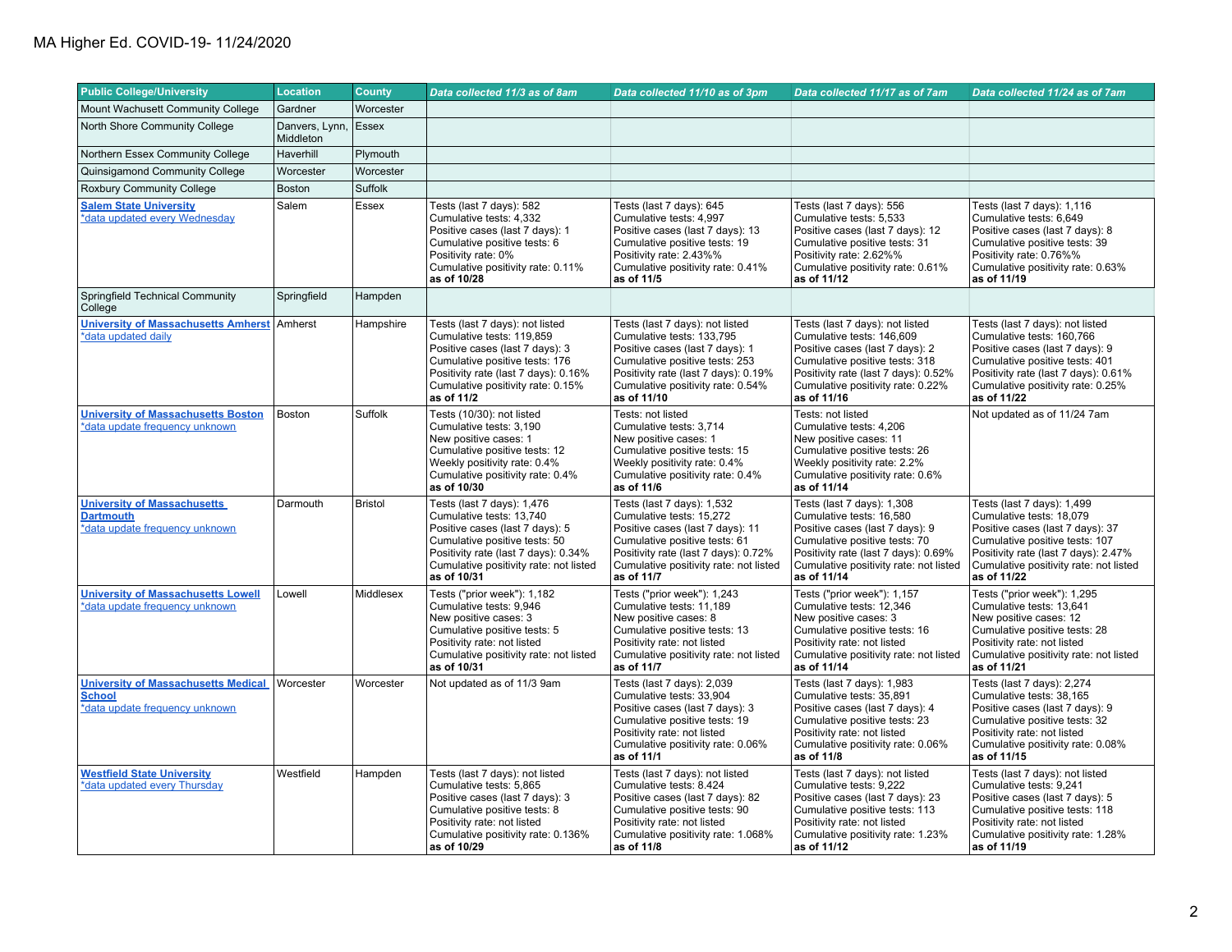| <b>Public College/University</b>                                                              | <b>Location</b>             | <b>County</b>  | Data collected 11/3 as of 8am                                                                                                                                                                                                | Data collected 11/10 as of 3pm                                                                                                                                                                                                | Data collected 11/17 as of 7am                                                                                                                                                                                                | Data collected 11/24 as of 7am                                                                                                                                                                                                |
|-----------------------------------------------------------------------------------------------|-----------------------------|----------------|------------------------------------------------------------------------------------------------------------------------------------------------------------------------------------------------------------------------------|-------------------------------------------------------------------------------------------------------------------------------------------------------------------------------------------------------------------------------|-------------------------------------------------------------------------------------------------------------------------------------------------------------------------------------------------------------------------------|-------------------------------------------------------------------------------------------------------------------------------------------------------------------------------------------------------------------------------|
| Mount Wachusett Community College                                                             | Gardner                     | Worcester      |                                                                                                                                                                                                                              |                                                                                                                                                                                                                               |                                                                                                                                                                                                                               |                                                                                                                                                                                                                               |
| North Shore Community College                                                                 | Danvers, Lynn,<br>Middleton | Essex          |                                                                                                                                                                                                                              |                                                                                                                                                                                                                               |                                                                                                                                                                                                                               |                                                                                                                                                                                                                               |
| Northern Essex Community College                                                              | Haverhill                   | Plymouth       |                                                                                                                                                                                                                              |                                                                                                                                                                                                                               |                                                                                                                                                                                                                               |                                                                                                                                                                                                                               |
| Quinsigamond Community College                                                                | Worcester                   | Worcester      |                                                                                                                                                                                                                              |                                                                                                                                                                                                                               |                                                                                                                                                                                                                               |                                                                                                                                                                                                                               |
| Roxbury Community College                                                                     | <b>Boston</b>               | Suffolk        |                                                                                                                                                                                                                              |                                                                                                                                                                                                                               |                                                                                                                                                                                                                               |                                                                                                                                                                                                                               |
| <b>Salem State University</b><br>data updated every Wednesday                                 | Salem                       | Essex          | Tests (last 7 days): 582<br>Cumulative tests: 4,332<br>Positive cases (last 7 days): 1<br>Cumulative positive tests: 6<br>Positivity rate: 0%<br>Cumulative positivity rate: 0.11%<br>as of 10/28                            | Tests (last 7 days): 645<br>Cumulative tests: 4,997<br>Positive cases (last 7 days): 13<br>Cumulative positive tests: 19<br>Positivity rate: 2.43%%<br>Cumulative positivity rate: 0.41%<br>as of 11/5                        | Tests (last 7 days): 556<br>Cumulative tests: 5,533<br>Positive cases (last 7 days): 12<br>Cumulative positive tests: 31<br>Positivity rate: 2.62%%<br>Cumulative positivity rate: 0.61%<br>as of 11/12                       | Tests (last 7 days): 1,116<br>Cumulative tests: 6,649<br>Positive cases (last 7 days): 8<br>Cumulative positive tests: 39<br>Positivity rate: 0.76%%<br>Cumulative positivity rate: 0.63%<br>as of 11/19                      |
| Springfield Technical Community<br>College                                                    | Springfield                 | Hampden        |                                                                                                                                                                                                                              |                                                                                                                                                                                                                               |                                                                                                                                                                                                                               |                                                                                                                                                                                                                               |
| <b>University of Massachusetts Amherst</b><br>*data updated daily                             | Amherst                     | Hampshire      | Tests (last 7 days): not listed<br>Cumulative tests: 119,859<br>Positive cases (last 7 days): 3<br>Cumulative positive tests: 176<br>Positivity rate (last 7 days): 0.16%<br>Cumulative positivity rate: 0.15%<br>as of 11/2 | Tests (last 7 days): not listed<br>Cumulative tests: 133,795<br>Positive cases (last 7 days): 1<br>Cumulative positive tests: 253<br>Positivity rate (last 7 days): 0.19%<br>Cumulative positivity rate: 0.54%<br>as of 11/10 | Tests (last 7 days): not listed<br>Cumulative tests: 146,609<br>Positive cases (last 7 days): 2<br>Cumulative positive tests: 318<br>Positivity rate (last 7 days): 0.52%<br>Cumulative positivity rate: 0.22%<br>as of 11/16 | Tests (last 7 days): not listed<br>Cumulative tests: 160,766<br>Positive cases (last 7 days): 9<br>Cumulative positive tests: 401<br>Positivity rate (last 7 days): 0.61%<br>Cumulative positivity rate: 0.25%<br>as of 11/22 |
| <b>University of Massachusetts Boston</b><br>*data update frequency unknown                   | Boston                      | Suffolk        | Tests (10/30): not listed<br>Cumulative tests: 3.190<br>New positive cases: 1<br>Cumulative positive tests: 12<br>Weekly positivity rate: 0.4%<br>Cumulative positivity rate: 0.4%<br>as of 10/30                            | Tests: not listed<br>Cumulative tests: 3,714<br>New positive cases: 1<br>Cumulative positive tests: 15<br>Weekly positivity rate: 0.4%<br>Cumulative positivity rate: 0.4%<br>as of 11/6                                      | Tests: not listed<br>Cumulative tests: 4,206<br>New positive cases: 11<br>Cumulative positive tests: 26<br>Weekly positivity rate: 2.2%<br>Cumulative positivity rate: 0.6%<br>as of 11/14                                    | Not updated as of 11/24 7am                                                                                                                                                                                                   |
| <b>University of Massachusetts</b><br><b>Dartmouth</b><br>*data update frequency unknown      | Darmouth                    | <b>Bristol</b> | Tests (last 7 days): 1,476<br>Cumulative tests: 13.740<br>Positive cases (last 7 days): 5<br>Cumulative positive tests: 50<br>Positivity rate (last 7 days): 0.34%<br>Cumulative positivity rate: not listed<br>as of 10/31  | Tests (last 7 days): 1,532<br>Cumulative tests: 15.272<br>Positive cases (last 7 days): 11<br>Cumulative positive tests: 61<br>Positivity rate (last 7 days): 0.72%<br>Cumulative positivity rate: not listed<br>as of 11/7   | Tests (last 7 days): 1,308<br>Cumulative tests: 16.580<br>Positive cases (last 7 days): 9<br>Cumulative positive tests: 70<br>Positivity rate (last 7 days): 0.69%<br>Cumulative positivity rate: not listed<br>as of 11/14   | Tests (last 7 days): 1,499<br>Cumulative tests: 18,079<br>Positive cases (last 7 days): 37<br>Cumulative positive tests: 107<br>Positivity rate (last 7 days): 2.47%<br>Cumulative positivity rate: not listed<br>as of 11/22 |
| <b>University of Massachusetts Lowell</b><br>*data update frequency unknown                   | Lowell                      | Middlesex      | Tests ("prior week"): 1,182<br>Cumulative tests: 9,946<br>New positive cases: 3<br>Cumulative positive tests: 5<br>Positivity rate: not listed<br>Cumulative positivity rate: not listed<br>as of 10/31                      | Tests ("prior week"): 1,243<br>Cumulative tests: 11,189<br>New positive cases: 8<br>Cumulative positive tests: 13<br>Positivity rate: not listed<br>Cumulative positivity rate: not listed<br>as of 11/7                      | Tests ("prior week"): 1,157<br>Cumulative tests: 12,346<br>New positive cases: 3<br>Cumulative positive tests: 16<br>Positivity rate: not listed<br>Cumulative positivity rate: not listed<br>as of 11/14                     | Tests ("prior week"): 1,295<br>Cumulative tests: 13,641<br>New positive cases: 12<br>Cumulative positive tests: 28<br>Positivity rate: not listed<br>Cumulative positivity rate: not listed<br>as of 11/21                    |
| <b>University of Massachusetts Medical</b><br><b>School</b><br>*data update frequency unknown | Worcester                   | Worcester      | Not updated as of 11/3 9am                                                                                                                                                                                                   | Tests (last 7 days): 2,039<br>Cumulative tests: 33,904<br>Positive cases (last 7 days): 3<br>Cumulative positive tests: 19<br>Positivity rate: not listed<br>Cumulative positivity rate: 0.06%<br>as of 11/1                  | Tests (last 7 days): 1,983<br>Cumulative tests: 35,891<br>Positive cases (last 7 days): 4<br>Cumulative positive tests: 23<br>Positivity rate: not listed<br>Cumulative positivity rate: 0.06%<br>as of 11/8                  | Tests (last 7 days): 2,274<br>Cumulative tests: 38,165<br>Positive cases (last 7 days): 9<br>Cumulative positive tests: 32<br>Positivity rate: not listed<br>Cumulative positivity rate: 0.08%<br>as of 11/15                 |
| <b>Westfield State University</b><br>*data updated every Thursday                             | Westfield                   | Hampden        | Tests (last 7 days): not listed<br>Cumulative tests: 5,865<br>Positive cases (last 7 days): 3<br>Cumulative positive tests: 8<br>Positivity rate: not listed<br>Cumulative positivity rate: 0.136%<br>as of 10/29            | Tests (last 7 days): not listed<br>Cumulative tests: 8.424<br>Positive cases (last 7 days): 82<br>Cumulative positive tests: 90<br>Positivity rate: not listed<br>Cumulative positivity rate: 1.068%<br>as of 11/8            | Tests (last 7 days): not listed<br>Cumulative tests: 9,222<br>Positive cases (last 7 days): 23<br>Cumulative positive tests: 113<br>Positivity rate: not listed<br>Cumulative positivity rate: 1.23%<br>as of 11/12           | Tests (last 7 days): not listed<br>Cumulative tests: 9,241<br>Positive cases (last 7 days): 5<br>Cumulative positive tests: 118<br>Positivity rate: not listed<br>Cumulative positivity rate: 1.28%<br>as of 11/19            |